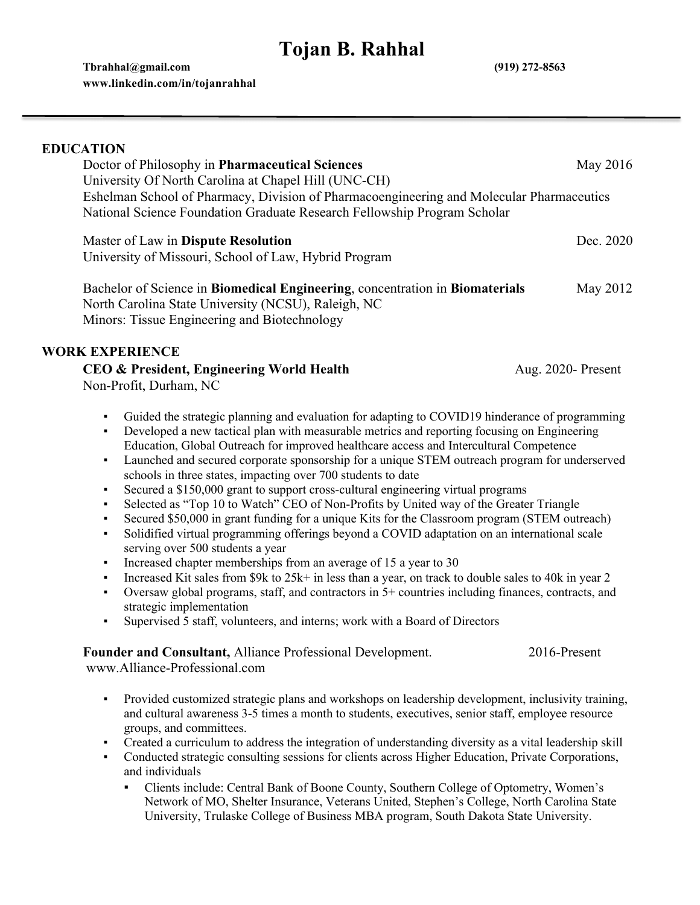# **Tojan B. Rahhal**

| <b>EDUCATION</b>                                                                                                                                                                                                                                                                                                                                                                                                                                                                                                                                                                                                                                                                                                                                                                                                                                                                                                                                                                                                                                                                                                                                                                                                                                                                                                                |                    |
|---------------------------------------------------------------------------------------------------------------------------------------------------------------------------------------------------------------------------------------------------------------------------------------------------------------------------------------------------------------------------------------------------------------------------------------------------------------------------------------------------------------------------------------------------------------------------------------------------------------------------------------------------------------------------------------------------------------------------------------------------------------------------------------------------------------------------------------------------------------------------------------------------------------------------------------------------------------------------------------------------------------------------------------------------------------------------------------------------------------------------------------------------------------------------------------------------------------------------------------------------------------------------------------------------------------------------------|--------------------|
| Doctor of Philosophy in Pharmaceutical Sciences                                                                                                                                                                                                                                                                                                                                                                                                                                                                                                                                                                                                                                                                                                                                                                                                                                                                                                                                                                                                                                                                                                                                                                                                                                                                                 | May 2016           |
| University Of North Carolina at Chapel Hill (UNC-CH)<br>Eshelman School of Pharmacy, Division of Pharmacoengineering and Molecular Pharmaceutics<br>National Science Foundation Graduate Research Fellowship Program Scholar                                                                                                                                                                                                                                                                                                                                                                                                                                                                                                                                                                                                                                                                                                                                                                                                                                                                                                                                                                                                                                                                                                    |                    |
| Master of Law in Dispute Resolution<br>University of Missouri, School of Law, Hybrid Program                                                                                                                                                                                                                                                                                                                                                                                                                                                                                                                                                                                                                                                                                                                                                                                                                                                                                                                                                                                                                                                                                                                                                                                                                                    | Dec. 2020          |
| Bachelor of Science in Biomedical Engineering, concentration in Biomaterials<br>North Carolina State University (NCSU), Raleigh, NC<br>Minors: Tissue Engineering and Biotechnology                                                                                                                                                                                                                                                                                                                                                                                                                                                                                                                                                                                                                                                                                                                                                                                                                                                                                                                                                                                                                                                                                                                                             | May 2012           |
| <b>WORK EXPERIENCE</b>                                                                                                                                                                                                                                                                                                                                                                                                                                                                                                                                                                                                                                                                                                                                                                                                                                                                                                                                                                                                                                                                                                                                                                                                                                                                                                          |                    |
| <b>CEO &amp; President, Engineering World Health</b><br>Non-Profit, Durham, NC                                                                                                                                                                                                                                                                                                                                                                                                                                                                                                                                                                                                                                                                                                                                                                                                                                                                                                                                                                                                                                                                                                                                                                                                                                                  | Aug. 2020- Present |
| Guided the strategic planning and evaluation for adapting to COVID19 hinderance of programming<br>٠<br>Developed a new tactical plan with measurable metrics and reporting focusing on Engineering<br>٠<br>Education, Global Outreach for improved healthcare access and Intercultural Competence<br>Launched and secured corporate sponsorship for a unique STEM outreach program for underserved<br>٠<br>schools in three states, impacting over 700 students to date<br>Secured a \$150,000 grant to support cross-cultural engineering virtual programs<br>٠<br>Selected as "Top 10 to Watch" CEO of Non-Profits by United way of the Greater Triangle<br>٠<br>Secured \$50,000 in grant funding for a unique Kits for the Classroom program (STEM outreach)<br>٠<br>Solidified virtual programming offerings beyond a COVID adaptation on an international scale<br>٠<br>serving over 500 students a year<br>Increased chapter memberships from an average of 15 a year to 30<br>٠<br>Increased Kit sales from \$9k to 25k+ in less than a year, on track to double sales to 40k in year 2<br>٠<br>Oversaw global programs, staff, and contractors in 5+ countries including finances, contracts, and<br>٠<br>strategic implementation<br>Supervised 5 staff, volunteers, and interns; work with a Board of Directors<br>٠ |                    |
| Founder and Consultant, Alliance Professional Development.<br>www.Alliance-Professional.com                                                                                                                                                                                                                                                                                                                                                                                                                                                                                                                                                                                                                                                                                                                                                                                                                                                                                                                                                                                                                                                                                                                                                                                                                                     | 2016-Present       |
| Provided customized strategic plans and workshops on leadership development, inclusivity training,<br>٠<br>and cultural awareness 3-5 times a month to students, executives, senior staff, employee resource<br>groups, and committees.<br>Created a curriculum to address the integration of understanding diversity as a vital leadership skill                                                                                                                                                                                                                                                                                                                                                                                                                                                                                                                                                                                                                                                                                                                                                                                                                                                                                                                                                                               |                    |

- Conducted strategic consulting sessions for clients across Higher Education, Private Corporations, and individuals
	- Clients include: Central Bank of Boone County, Southern College of Optometry, Women's Network of MO, Shelter Insurance, Veterans United, Stephen's College, North Carolina State University, Trulaske College of Business MBA program, South Dakota State University.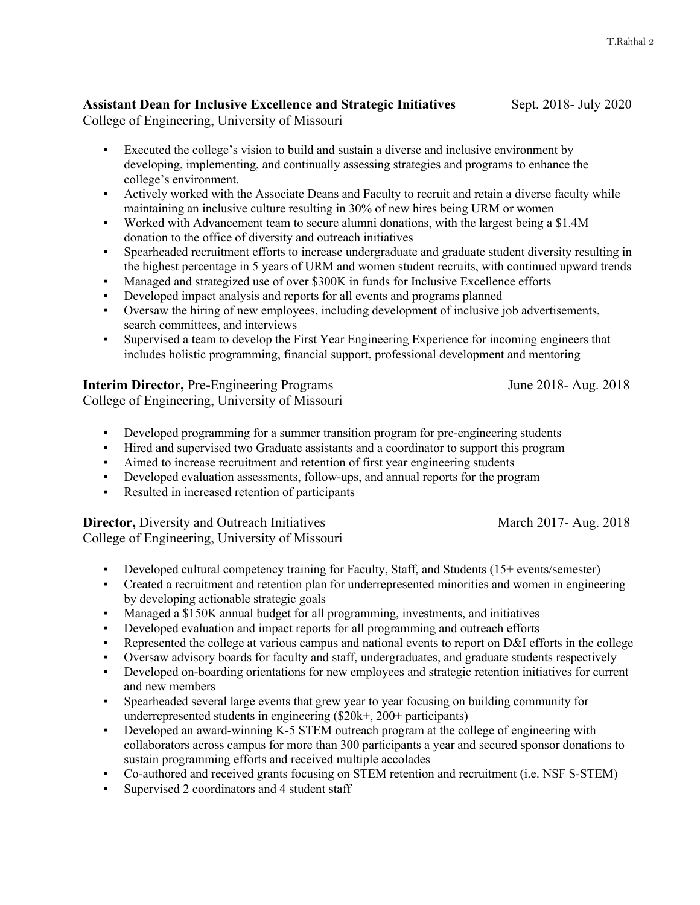# Assistant Dean for Inclusive Excellence and Strategic Initiatives Sept. 2018- July 2020

College of Engineering, University of Missouri

- Executed the college's vision to build and sustain a diverse and inclusive environment by developing, implementing, and continually assessing strategies and programs to enhance the college's environment.
- Actively worked with the Associate Deans and Faculty to recruit and retain a diverse faculty while maintaining an inclusive culture resulting in 30% of new hires being URM or women
- Worked with Advancement team to secure alumni donations, with the largest being a \$1.4M donation to the office of diversity and outreach initiatives
- Spearheaded recruitment efforts to increase undergraduate and graduate student diversity resulting in the highest percentage in 5 years of URM and women student recruits, with continued upward trends
- Managed and strategized use of over \$300K in funds for Inclusive Excellence efforts
- Developed impact analysis and reports for all events and programs planned
- Oversaw the hiring of new employees, including development of inclusive job advertisements, search committees, and interviews
- Supervised a team to develop the First Year Engineering Experience for incoming engineers that includes holistic programming, financial support, professional development and mentoring

# **Interim Director, Pre-Engineering Programs June 2018- Aug. 2018**

College of Engineering, University of Missouri

- Developed programming for a summer transition program for pre-engineering students
- Hired and supervised two Graduate assistants and a coordinator to support this program
- Aimed to increase recruitment and retention of first year engineering students
- Developed evaluation assessments, follow-ups, and annual reports for the program
- Resulted in increased retention of participants

## **Director, Diversity and Outreach Initiatives March 2017- Aug. 2018**

College of Engineering, University of Missouri

- Developed cultural competency training for Faculty, Staff, and Students (15+ events/semester)
- Created a recruitment and retention plan for underrepresented minorities and women in engineering by developing actionable strategic goals
- Managed a \$150K annual budget for all programming, investments, and initiatives
- Developed evaluation and impact reports for all programming and outreach efforts
- Represented the college at various campus and national events to report on D&I efforts in the college
- Oversaw advisory boards for faculty and staff, undergraduates, and graduate students respectively
- Developed on-boarding orientations for new employees and strategic retention initiatives for current and new members
- Spearheaded several large events that grew year to year focusing on building community for underrepresented students in engineering (\$20k+, 200+ participants)
- Developed an award-winning K-5 STEM outreach program at the college of engineering with collaborators across campus for more than 300 participants a year and secured sponsor donations to sustain programming efforts and received multiple accolades
- Co-authored and received grants focusing on STEM retention and recruitment (i.e. NSF S-STEM)
- Supervised 2 coordinators and 4 student staff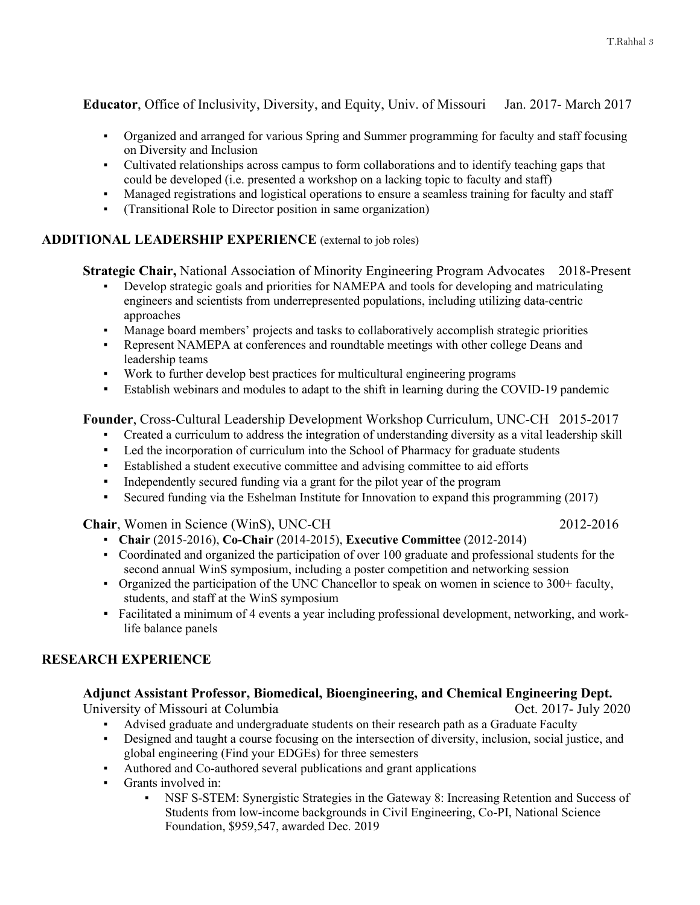**Educator**, Office of Inclusivity, Diversity, and Equity, Univ. of Missouri Jan. 2017- March 2017

- Organized and arranged for various Spring and Summer programming for faculty and staff focusing on Diversity and Inclusion
- Cultivated relationships across campus to form collaborations and to identify teaching gaps that could be developed (i.e. presented a workshop on a lacking topic to faculty and staff)
- Managed registrations and logistical operations to ensure a seamless training for faculty and staff
- (Transitional Role to Director position in same organization)

# **ADDITIONAL LEADERSHIP EXPERIENCE** (external to job roles)

## **Strategic Chair,** National Association of Minority Engineering Program Advocates 2018-Present

- Develop strategic goals and priorities for NAMEPA and tools for developing and matriculating engineers and scientists from underrepresented populations, including utilizing data-centric approaches
- Manage board members' projects and tasks to collaboratively accomplish strategic priorities
- Represent NAMEPA at conferences and roundtable meetings with other college Deans and leadership teams
- Work to further develop best practices for multicultural engineering programs
- Establish webinars and modules to adapt to the shift in learning during the COVID-19 pandemic

## **Founder**, Cross-Cultural Leadership Development Workshop Curriculum, UNC-CH 2015-2017

- Created a curriculum to address the integration of understanding diversity as a vital leadership skill
- Led the incorporation of curriculum into the School of Pharmacy for graduate students
- Established a student executive committee and advising committee to aid efforts
- Independently secured funding via a grant for the pilot year of the program
- Secured funding via the Eshelman Institute for Innovation to expand this programming (2017)

**Chair**, Women in Science (WinS), UNC-CH 2012-2016

- **Chair** (2015-2016), **Co-Chair** (2014-2015), **Executive Committee** (2012-2014)
- Coordinated and organized the participation of over 100 graduate and professional students for the second annual WinS symposium, including a poster competition and networking session
- Organized the participation of the UNC Chancellor to speak on women in science to 300+ faculty, students, and staff at the WinS symposium
- Facilitated a minimum of 4 events a year including professional development, networking, and worklife balance panels

# **RESEARCH EXPERIENCE**

## **Adjunct Assistant Professor, Biomedical, Bioengineering, and Chemical Engineering Dept.**

University of Missouri at Columbia  $\qquad \qquad \qquad$  Oct. 2017- July 2020

- Advised graduate and undergraduate students on their research path as a Graduate Faculty
- Designed and taught a course focusing on the intersection of diversity, inclusion, social justice, and global engineering (Find your EDGEs) for three semesters
- Authored and Co-authored several publications and grant applications
- Grants involved in:
	- NSF S-STEM: Synergistic Strategies in the Gateway 8: Increasing Retention and Success of Students from low-income backgrounds in Civil Engineering, Co-PI, National Science Foundation, \$959,547, awarded Dec. 2019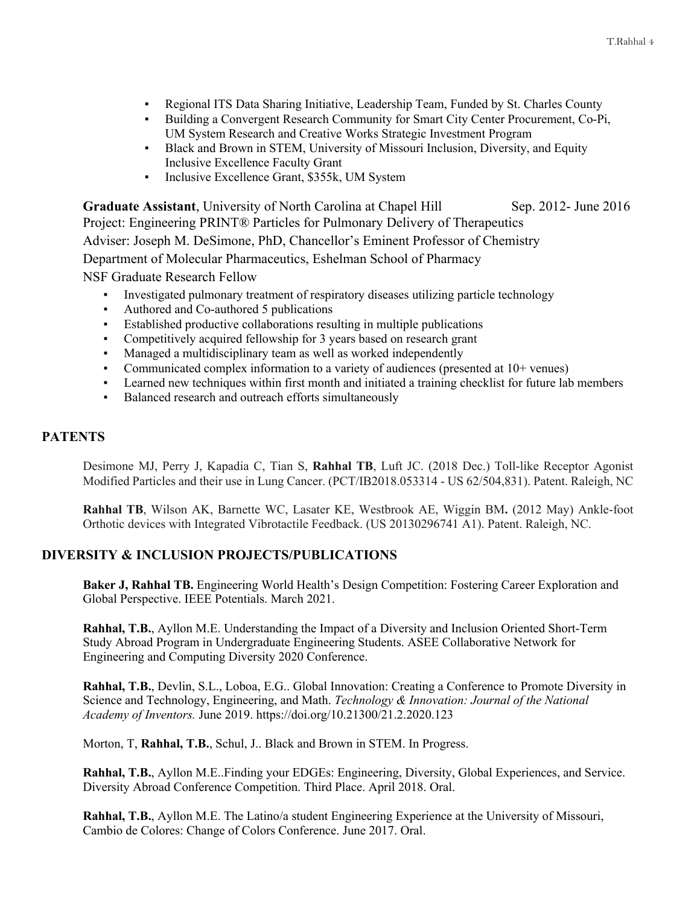- **Regional ITS Data Sharing Initiative, Leadership Team, Funded by St. Charles County**
- Building a Convergent Research Community for Smart City Center Procurement, Co-Pi, UM System Research and Creative Works Strategic Investment Program
- Black and Brown in STEM, University of Missouri Inclusion, Diversity, and Equity Inclusive Excellence Faculty Grant
- **•** Inclusive Excellence Grant, \$355k, UM System

Graduate Assistant, University of North Carolina at Chapel Hill Sep. 2012- June 2016 Project: Engineering PRINT® Particles for Pulmonary Delivery of Therapeutics Adviser: Joseph M. DeSimone, PhD, Chancellor's Eminent Professor of Chemistry Department of Molecular Pharmaceutics, Eshelman School of Pharmacy NSF Graduate Research Fellow

- Investigated pulmonary treatment of respiratory diseases utilizing particle technology
- Authored and Co-authored 5 publications
- Established productive collaborations resulting in multiple publications
- Competitively acquired fellowship for 3 years based on research grant
- Managed a multidisciplinary team as well as worked independently
- Communicated complex information to a variety of audiences (presented at 10+ venues)
- Learned new techniques within first month and initiated a training checklist for future lab members
- Balanced research and outreach efforts simultaneously

# **PATENTS**

Desimone MJ, Perry J, Kapadia C, Tian S, **Rahhal TB**, Luft JC. (2018 Dec.) Toll-like Receptor Agonist Modified Particles and their use in Lung Cancer. (PCT/IB2018.053314 - US 62/504,831). Patent. Raleigh, NC

**Rahhal TB**, Wilson AK, Barnette WC, Lasater KE, Westbrook AE, Wiggin BM**.** (2012 May) Ankle-foot Orthotic devices with Integrated Vibrotactile Feedback. (US 20130296741 A1). Patent. Raleigh, NC.

## **DIVERSITY & INCLUSION PROJECTS/PUBLICATIONS**

**Baker J, Rahhal TB.** Engineering World Health's Design Competition: Fostering Career Exploration and Global Perspective. IEEE Potentials. March 2021.

**Rahhal, T.B.**, Ayllon M.E. Understanding the Impact of a Diversity and Inclusion Oriented Short-Term Study Abroad Program in Undergraduate Engineering Students. ASEE Collaborative Network for Engineering and Computing Diversity 2020 Conference.

**Rahhal, T.B.**, Devlin, S.L., Loboa, E.G.. Global Innovation: Creating a Conference to Promote Diversity in Science and Technology, Engineering, and Math. *Technology & Innovation: Journal of the National Academy of Inventors.* June 2019. https://doi.org/10.21300/21.2.2020.123

Morton, T, **Rahhal, T.B.**, Schul, J.. Black and Brown in STEM. In Progress.

**Rahhal, T.B.**, Ayllon M.E..Finding your EDGEs: Engineering, Diversity, Global Experiences, and Service. Diversity Abroad Conference Competition. Third Place. April 2018. Oral.

**Rahhal, T.B.**, Ayllon M.E. The Latino/a student Engineering Experience at the University of Missouri, Cambio de Colores: Change of Colors Conference. June 2017. Oral.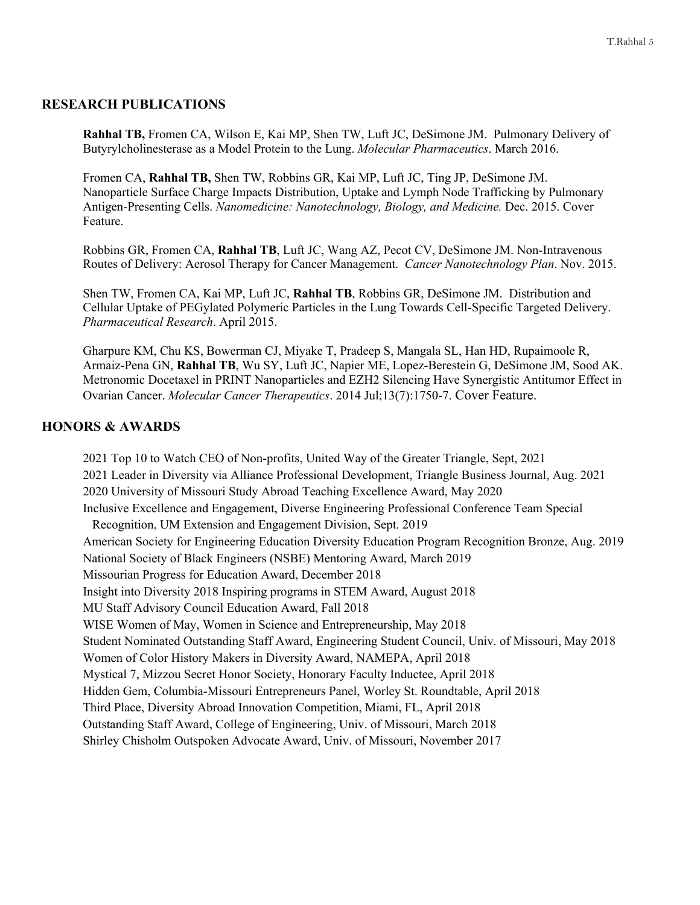#### **RESEARCH PUBLICATIONS**

**Rahhal TB,** Fromen CA, Wilson E, Kai MP, Shen TW, Luft JC, DeSimone JM.Pulmonary Delivery of Butyrylcholinesterase as a Model Protein to the Lung. *Molecular Pharmaceutics*. March 2016.

Fromen CA, **Rahhal TB,** Shen TW, Robbins GR, Kai MP, Luft JC, Ting JP, DeSimone JM. Nanoparticle Surface Charge Impacts Distribution, Uptake and Lymph Node Trafficking by Pulmonary Antigen-Presenting Cells. *Nanomedicine: Nanotechnology, Biology, and Medicine.* Dec. 2015. Cover Feature.

Robbins GR, Fromen CA, **Rahhal TB**, Luft JC, Wang AZ, Pecot CV, DeSimone JM. Non-Intravenous Routes of Delivery: Aerosol Therapy for Cancer Management. *Cancer Nanotechnology Plan*. Nov. 2015.

Shen TW, Fromen CA, Kai MP, Luft JC, **Rahhal TB**, Robbins GR, DeSimone JM. Distribution and Cellular Uptake of PEGylated Polymeric Particles in the Lung Towards Cell-Specific Targeted Delivery. *Pharmaceutical Research*. April 2015.

Gharpure KM, Chu KS, Bowerman CJ, Miyake T, Pradeep S, Mangala SL, Han HD, Rupaimoole R, Armaiz-Pena GN, **Rahhal TB**, Wu SY, Luft JC, Napier ME, Lopez-Berestein G, DeSimone JM, Sood AK. Metronomic Docetaxel in PRINT Nanoparticles and EZH2 Silencing Have Synergistic Antitumor Effect in Ovarian Cancer. *Molecular Cancer Therapeutics*. 2014 Jul;13(7):1750-7. Cover Feature.

#### **HONORS & AWARDS**

2021 Top 10 to Watch CEO of Non-profits, United Way of the Greater Triangle, Sept, 2021 2021 Leader in Diversity via Alliance Professional Development, Triangle Business Journal, Aug. 2021 2020 University of Missouri Study Abroad Teaching Excellence Award, May 2020 Inclusive Excellence and Engagement, Diverse Engineering Professional Conference Team Special Recognition, UM Extension and Engagement Division, Sept. 2019 American Society for Engineering Education Diversity Education Program Recognition Bronze, Aug. 2019 National Society of Black Engineers (NSBE) Mentoring Award, March 2019 Missourian Progress for Education Award, December 2018 Insight into Diversity 2018 Inspiring programs in STEM Award, August 2018 MU Staff Advisory Council Education Award, Fall 2018 WISE Women of May, Women in Science and Entrepreneurship, May 2018 Student Nominated Outstanding Staff Award, Engineering Student Council, Univ. of Missouri, May 2018 Women of Color History Makers in Diversity Award, NAMEPA, April 2018 Mystical 7, Mizzou Secret Honor Society, Honorary Faculty Inductee, April 2018 Hidden Gem, Columbia-Missouri Entrepreneurs Panel, Worley St. Roundtable, April 2018 Third Place, Diversity Abroad Innovation Competition, Miami, FL, April 2018 Outstanding Staff Award, College of Engineering, Univ. of Missouri, March 2018 Shirley Chisholm Outspoken Advocate Award, Univ. of Missouri, November 2017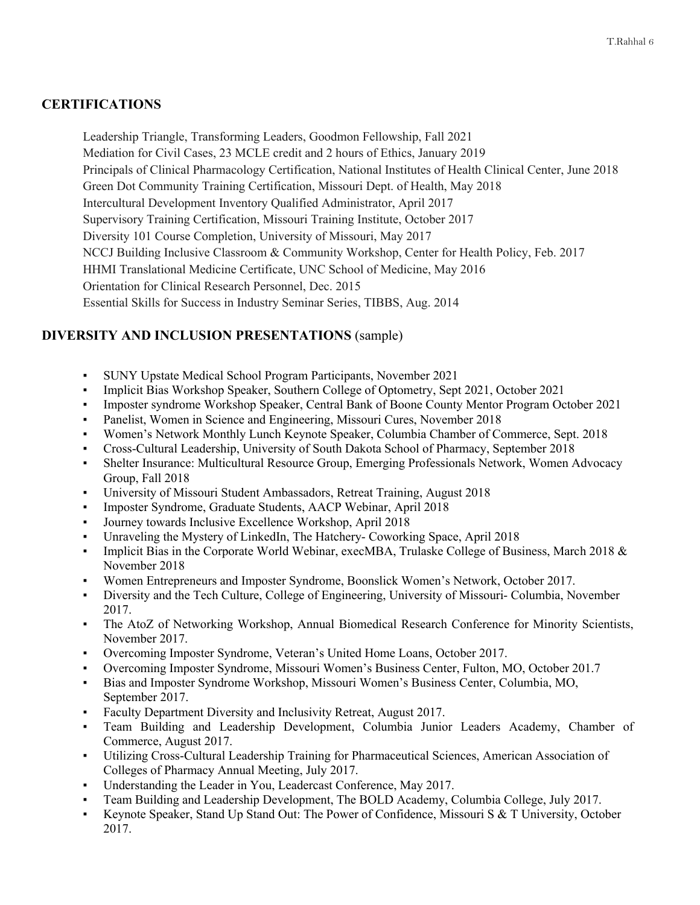# **CERTIFICATIONS**

Leadership Triangle, Transforming Leaders, Goodmon Fellowship, Fall 2021 Mediation for Civil Cases, 23 MCLE credit and 2 hours of Ethics, January 2019 Principals of Clinical Pharmacology Certification, National Institutes of Health Clinical Center, June 2018 Green Dot Community Training Certification, Missouri Dept. of Health, May 2018 Intercultural Development Inventory Qualified Administrator, April 2017 Supervisory Training Certification, Missouri Training Institute, October 2017 Diversity 101 Course Completion, University of Missouri, May 2017 NCCJ Building Inclusive Classroom & Community Workshop, Center for Health Policy, Feb. 2017 HHMI Translational Medicine Certificate, UNC School of Medicine, May 2016 Orientation for Clinical Research Personnel, Dec. 2015 Essential Skills for Success in Industry Seminar Series, TIBBS, Aug. 2014

# **DIVERSITY AND INCLUSION PRESENTATIONS** (sample)

- SUNY Upstate Medical School Program Participants, November 2021
- Implicit Bias Workshop Speaker, Southern College of Optometry, Sept 2021, October 2021
- Imposter syndrome Workshop Speaker, Central Bank of Boone County Mentor Program October 2021
- Panelist, Women in Science and Engineering, Missouri Cures, November 2018
- Women's Network Monthly Lunch Keynote Speaker, Columbia Chamber of Commerce, Sept. 2018
- Cross-Cultural Leadership, University of South Dakota School of Pharmacy, September 2018
- Shelter Insurance: Multicultural Resource Group, Emerging Professionals Network, Women Advocacy Group, Fall 2018
- University of Missouri Student Ambassadors, Retreat Training, August 2018
- Imposter Syndrome, Graduate Students, AACP Webinar, April 2018
- Journey towards Inclusive Excellence Workshop, April 2018
- Unraveling the Mystery of LinkedIn, The Hatchery- Coworking Space, April 2018
- **•** Implicit Bias in the Corporate World Webinar, execMBA, Trulaske College of Business, March 2018 & November 2018
- Women Entrepreneurs and Imposter Syndrome, Boonslick Women's Network, October 2017.
- Diversity and the Tech Culture, College of Engineering, University of Missouri- Columbia, November 2017.
- The AtoZ of Networking Workshop, Annual Biomedical Research Conference for Minority Scientists, November 2017.
- Overcoming Imposter Syndrome, Veteran's United Home Loans, October 2017.
- Overcoming Imposter Syndrome, Missouri Women's Business Center, Fulton, MO, October 201.7
- Bias and Imposter Syndrome Workshop, Missouri Women's Business Center, Columbia, MO, September 2017.
- Faculty Department Diversity and Inclusivity Retreat, August 2017.
- Team Building and Leadership Development, Columbia Junior Leaders Academy, Chamber of Commerce, August 2017.
- Utilizing Cross-Cultural Leadership Training for Pharmaceutical Sciences, American Association of Colleges of Pharmacy Annual Meeting, July 2017.
- Understanding the Leader in You, Leadercast Conference, May 2017.
- Team Building and Leadership Development, The BOLD Academy, Columbia College, July 2017.
- Keynote Speaker, Stand Up Stand Out: The Power of Confidence, Missouri S & T University, October 2017.